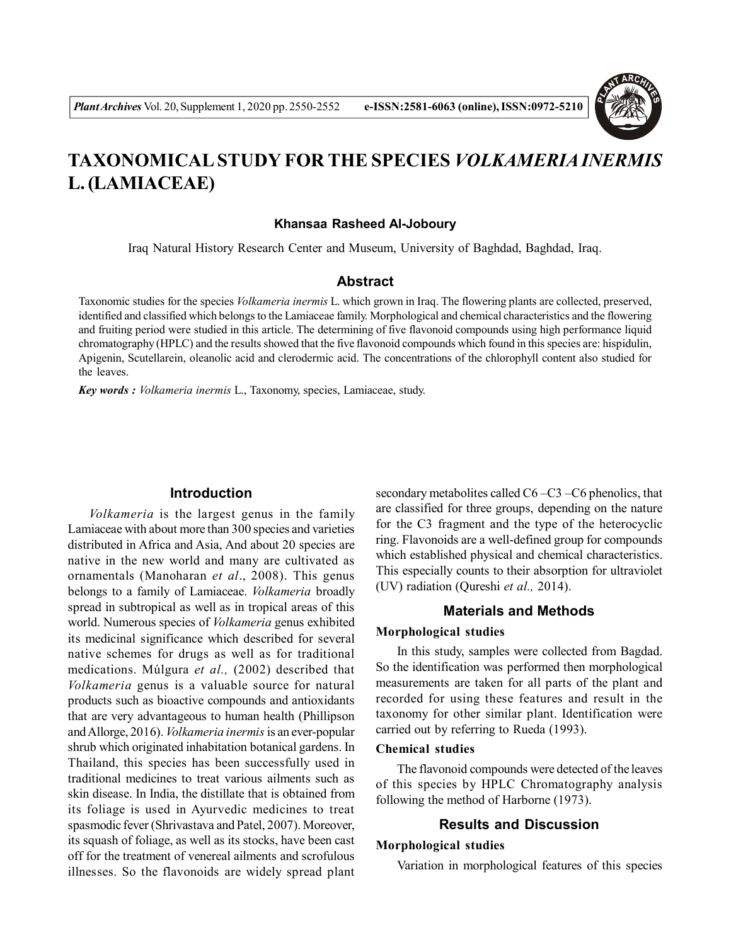

# **TAXONOMICAL STUDY FOR THE SPECIES** *VOLKAMERIA INERMIS* **L. (LAMIACEAE)**

#### **Khansaa Rasheed Al-Joboury**

Iraq Natural History Research Center and Museum, University of Baghdad, Baghdad, Iraq.

### **Abstract**

Taxonomic studies for the species *Volkameria inermis* L. which grown in Iraq. The flowering plants are collected, preserved, identified and classified which belongs to the Lamiaceae family. Morphological and chemical characteristics and the flowering and fruiting period were studied in this article. The determining of five flavonoid compounds using high performance liquid chromatography (HPLC) and the results showed that the five flavonoid compounds which found in this species are: hispidulin, Apigenin, Scutellarein, oleanolic acid and clerodermic acid. The concentrations of the chlorophyll content also studied for the leaves.

*Key words : Volkameria inermis* L., Taxonomy, species, Lamiaceae, study.

## **Introduction**

*Volkameria* is the largest genus in the family Lamiaceae with about more than 300 species and varieties distributed in Africa and Asia, And about 20 species are native in the new world and many are cultivated as ornamentals (Manoharan *et al*., 2008). This genus belongs to a family of Lamiaceae. *Volkameria* broadly spread in subtropical as well as in tropical areas of this world. Numerous species of *Volkameria* genus exhibited its medicinal significance which described for several native schemes for drugs as well as for traditional medications. Múlgura *et al.,* (2002) described that *Volkameria* genus is a valuable source for natural products such as bioactive compounds and antioxidants that are very advantageous to human health (Phillipson and Allorge, 2016). *Volkameria inermis* is an ever-popular shrub which originated inhabitation botanical gardens. In Thailand, this species has been successfully used in traditional medicines to treat various ailments such as skin disease. In India, the distillate that is obtained from its foliage is used in Ayurvedic medicines to treat spasmodic fever (Shrivastava and Patel, 2007). Moreover, its squash of foliage, as well as its stocks, have been cast off for the treatment of venereal ailments and scrofulous illnesses. So the flavonoids are widely spread plant

secondary metabolites called C6 –C3 –C6 phenolics, that are classified for three groups, depending on the nature for the C3 fragment and the type of the heterocyclic ring. Flavonoids are a well-defined group for compounds which established physical and chemical characteristics. This especially counts to their absorption for ultraviolet (UV) radiation (Qureshi *et al.,* 2014).

## **Materials and Methods**

#### **Morphological studies**

In this study, samples were collected from Bagdad. So the identification was performed then morphological measurements are taken for all parts of the plant and recorded for using these features and result in the taxonomy for other similar plant. Identification were carried out by referring to Rueda (1993).

## **Chemical studies**

The flavonoid compounds were detected of the leaves of this species by HPLC Chromatography analysis following the method of Harborne (1973).

#### **Results and Discussion**

#### **Morphological studies**

Variation in morphological features of this species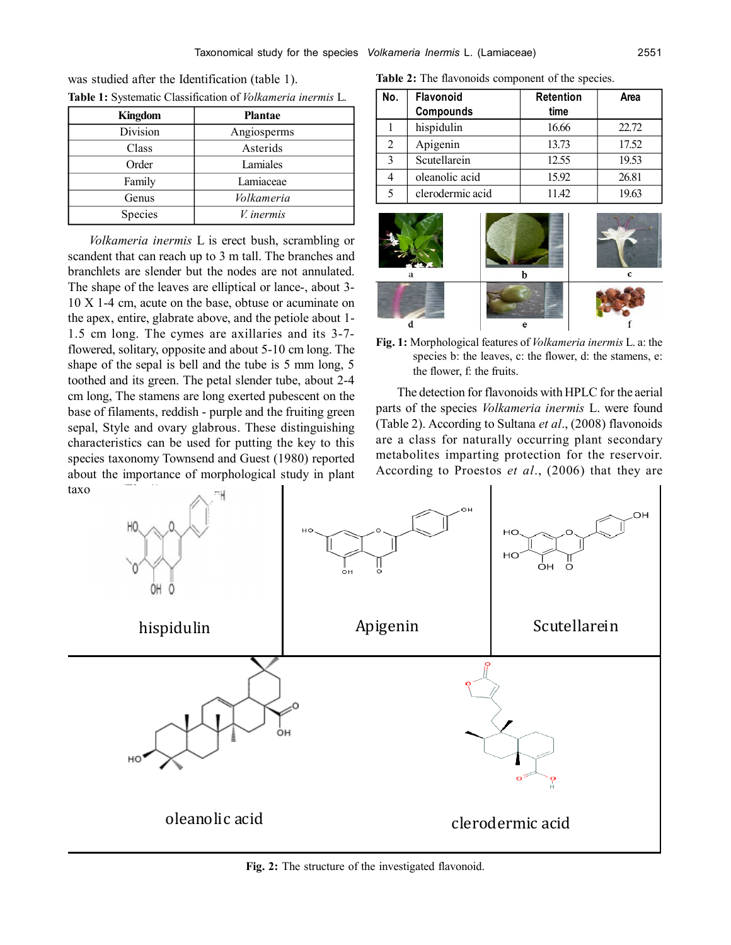| <b>Kingdom</b> | <b>Plantae</b>    |
|----------------|-------------------|
| Division       | Angiosperms       |
| Class          | Asterids          |
| Order          | Lamiales          |
| Family         | Lamiaceae         |
| Genus          | Volkameria        |
| Species        | <i>V.</i> inermis |

**Table 1:** Systematic Classification of *Volkameria inermis* L. was studied after the Identification (table 1).

*Volkameria inermis* L is erect bush, scrambling or scandent that can reach up to 3 m tall. The branches and branchlets are slender but the nodes are not annulated. The shape of the leaves are elliptical or lance-, about 3- 10 X 1-4 cm, acute on the base, obtuse or acuminate on the apex, entire, glabrate above, and the petiole about 1- 1.5 cm long. The cymes are axillaries and its 3-7 flowered, solitary, opposite and about 5-10 cm long. The shape of the sepal is bell and the tube is 5 mm long, 5 toothed and its green. The petal slender tube, about 2-4 cm long, The stamens are long exerted pubescent on the base of filaments, reddish - purple and the fruiting green sepal, Style and ovary glabrous. These distinguishing characteristics can be used for putting the key to this species taxonomy Townsend and Guest (1980) reported about the importance of morphological study in plant taxo

**Table 2:** The flavonoids component of the species.

| No.          | <b>Flavonoid</b> | <b>Retention</b> | Area  |
|--------------|------------------|------------------|-------|
|              | Compounds        | time             |       |
|              | hispidulin       | 16.66            | 22.72 |
| 2            | Apigenin         | 13.73            | 17.52 |
| $\mathbf{3}$ | Scutellarein     | 12.55            | 19.53 |
|              | oleanolic acid   | 15.92            | 26.81 |
|              | clerodermic acid | 11.42            | 19.63 |
|              |                  |                  |       |



**Fig. 1:** Morphological features of *Volkameria inermis* L. a: the species b: the leaves, c: the flower, d: the stamens, e: the flower, f: the fruits.

The detection for flavonoids with HPLC for the aerial parts of the species *Volkameria inermis* L. were found (Table 2). According to Sultana *et al*., (2008) flavonoids are a class for naturally occurring plant secondary metabolites imparting protection for the reservoir. According to Proestos *et al*., (2006) that they are



**Fig. 2:** The structure of the investigated flavonoid.